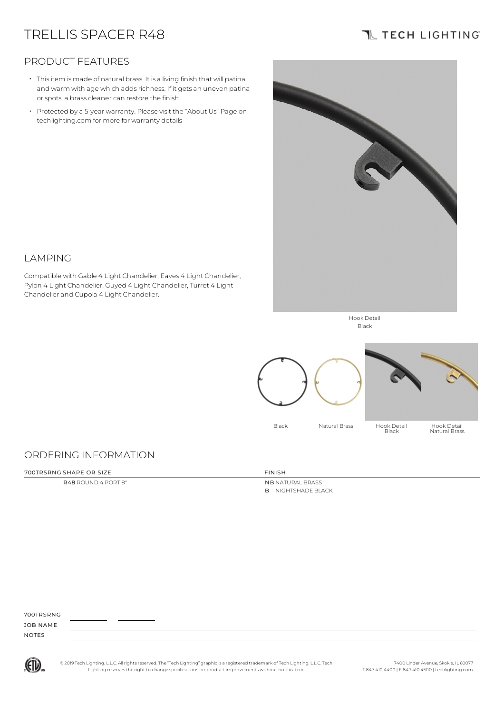# TRELLIS SPACER R48

# **TL TECH LIGHTING**

### PRODUCT FEATURES

- Thisitem is made of natural brass. It is a living finish that will patina and warm with age which adds richness. If it gets an uneven patina or spots, a brass cleaner can restore the finish
- Protected by a 5-year warranty. Please visit the "About Us" Page on techlighting.com for more for warranty details

Compatible with Gable 4 Light Chandelier, Eaves 4 Light Chandelier, Pylon 4 Light Chandelier, Guyed 4 Light Chandelier, Turret 4 Light



Hook Detail Black



# ORDERING INFORMATION

Chandelier and Cupola 4 Light Chandelier.

#### 700TRSRNG SHAPE OR SIZE FINISH

LAMPING

R48 ROUND 4 PORT 8" NB NATURAL BRASS B NIGHTSHADE BLACK

### 700TRSRNG

JOB NAME NOTES



© 2019 Tech Lighting, L.L.C. All rightsreserved. The "Tech Lighting" graphicis a registered trademark of Tech Lighting, L.L.C. Tech Lighting reservesthe right to change specificationsfor product improvements without notification.

7400 Linder Avenue, Skokie, IL 60077 T 847.410.4400 | F 847.410.4500 | techlighting.com